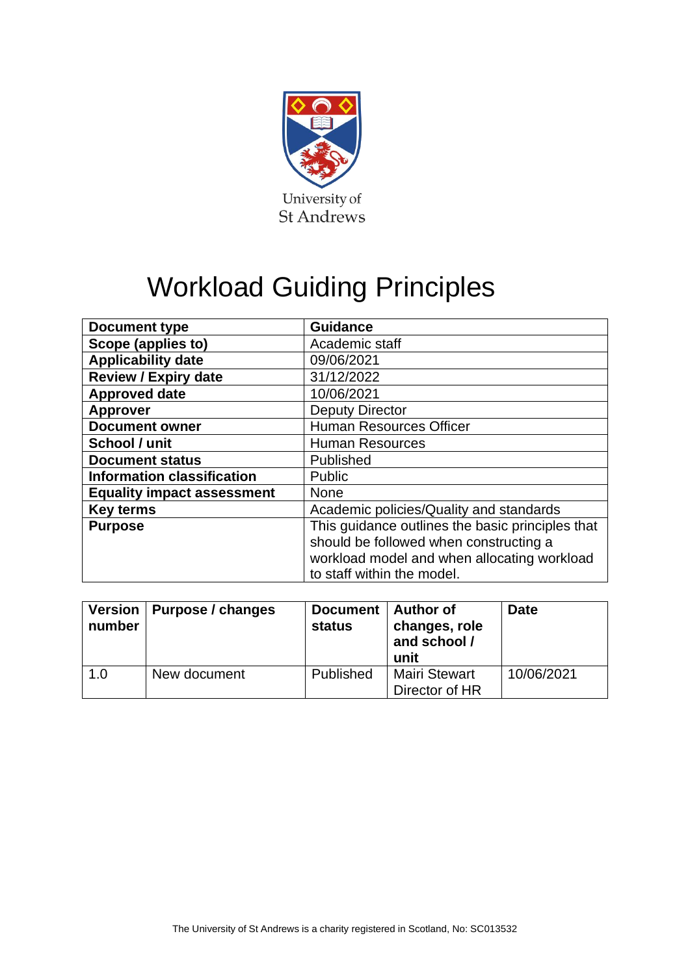

# Workload Guiding Principles

| <b>Document type</b>              | <b>Guidance</b>                                                                                                                                                         |  |  |
|-----------------------------------|-------------------------------------------------------------------------------------------------------------------------------------------------------------------------|--|--|
| Scope (applies to)                | Academic staff                                                                                                                                                          |  |  |
| <b>Applicability date</b>         | 09/06/2021                                                                                                                                                              |  |  |
| <b>Review / Expiry date</b>       | 31/12/2022                                                                                                                                                              |  |  |
| <b>Approved date</b>              | 10/06/2021                                                                                                                                                              |  |  |
| <b>Approver</b>                   | <b>Deputy Director</b>                                                                                                                                                  |  |  |
| <b>Document owner</b>             | <b>Human Resources Officer</b>                                                                                                                                          |  |  |
| School / unit                     | <b>Human Resources</b>                                                                                                                                                  |  |  |
| <b>Document status</b>            | Published                                                                                                                                                               |  |  |
| <b>Information classification</b> | <b>Public</b>                                                                                                                                                           |  |  |
| <b>Equality impact assessment</b> | <b>None</b>                                                                                                                                                             |  |  |
| <b>Key terms</b>                  | Academic policies/Quality and standards                                                                                                                                 |  |  |
| <b>Purpose</b>                    | This guidance outlines the basic principles that<br>should be followed when constructing a<br>workload model and when allocating workload<br>to staff within the model. |  |  |

| number | Version   Purpose / changes | Document  <br><b>status</b> | <b>Author of</b><br>changes, role<br>and school /<br>unit | <b>Date</b> |
|--------|-----------------------------|-----------------------------|-----------------------------------------------------------|-------------|
| 1.0    | New document                | Published                   | <b>Mairi Stewart</b><br>Director of HR                    | 10/06/2021  |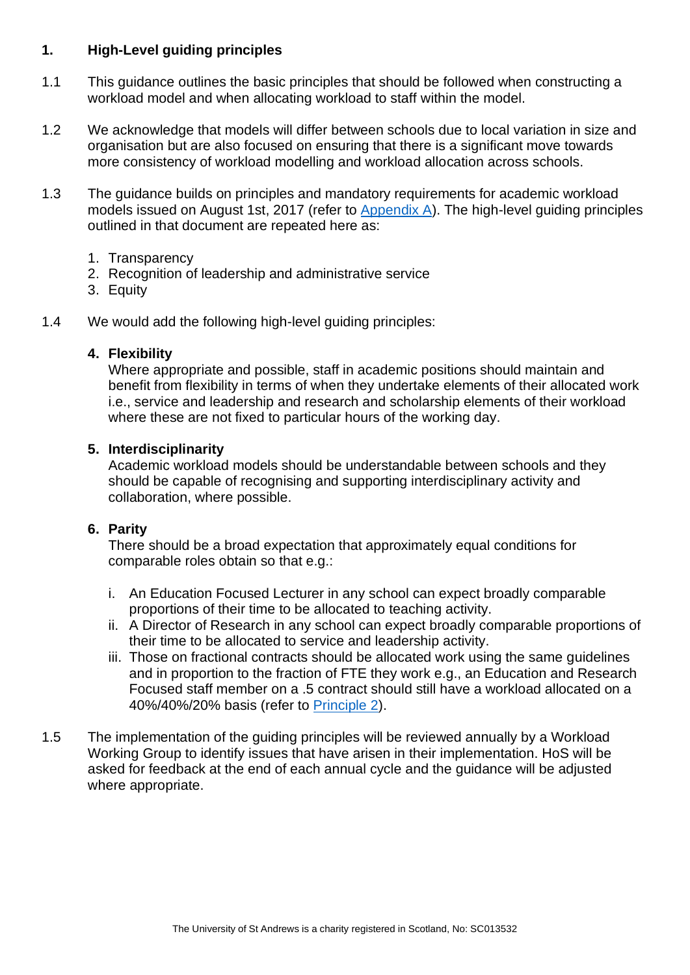## **1. High-Level guiding principles**

- 1.1 This guidance outlines the basic principles that should be followed when constructing a workload model and when allocating workload to staff within the model.
- 1.2 We acknowledge that models will differ between schools due to local variation in size and organisation but are also focused on ensuring that there is a significant move towards more consistency of workload modelling and workload allocation across schools.
- 1.3 The guidance builds on principles and mandatory requirements for academic workload models issued on August 1st, 2017 (refer to [Appendix A\)](#page-8-0). The high-level guiding principles outlined in that document are repeated here as:
	- 1. Transparency
	- 2. Recognition of leadership and administrative service
	- 3. Equity
- 1.4 We would add the following high-level guiding principles:

#### **4. Flexibility**

Where appropriate and possible, staff in academic positions should maintain and benefit from flexibility in terms of when they undertake elements of their allocated work i.e., service and leadership and research and scholarship elements of their workload where these are not fixed to particular hours of the working day.

## **5. Interdisciplinarity**

Academic workload models should be understandable between schools and they should be capable of recognising and supporting interdisciplinary activity and collaboration, where possible.

## **6. Parity**

There should be a broad expectation that approximately equal conditions for comparable roles obtain so that e.g.:

- i. An Education Focused Lecturer in any school can expect broadly comparable proportions of their time to be allocated to teaching activity.
- ii. A Director of Research in any school can expect broadly comparable proportions of their time to be allocated to service and leadership activity.
- iii. Those on fractional contracts should be allocated work using the same guidelines and in proportion to the fraction of FTE they work e.g., an Education and Research Focused staff member on a .5 contract should still have a workload allocated on a 40%/40%/20% basis (refer to [Principle 2\)](#page-2-0).
- 1.5 The implementation of the guiding principles will be reviewed annually by a Workload Working Group to identify issues that have arisen in their implementation. HoS will be asked for feedback at the end of each annual cycle and the guidance will be adjusted where appropriate.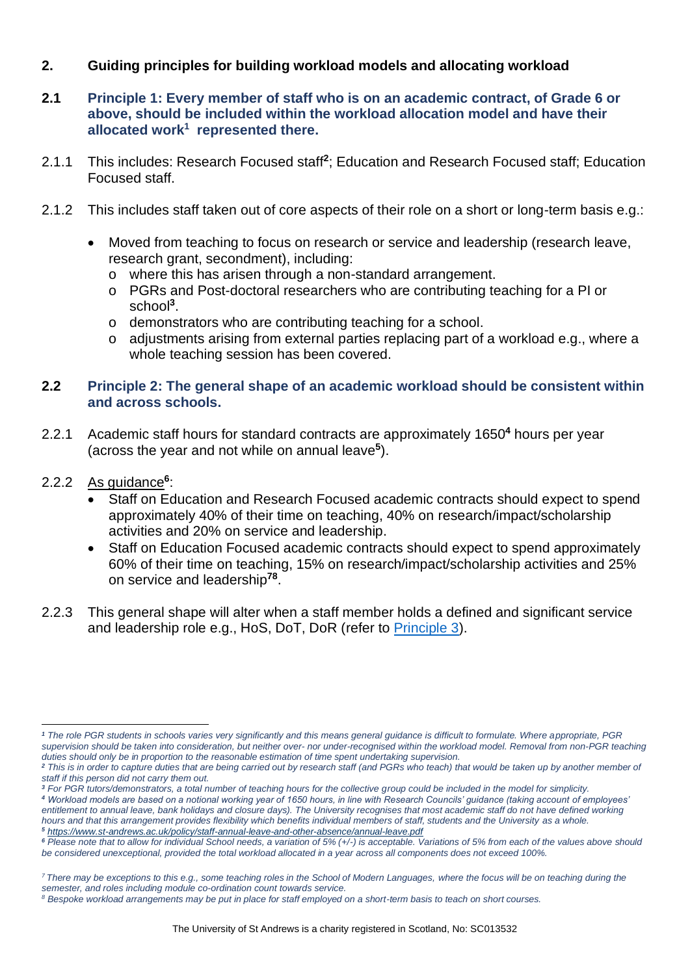## **2. Guiding principles for building workload models and allocating workload**

- **2.1 Principle 1: Every member of staff who is on an academic contract, of Grade 6 or above, should be included within the workload allocation model and have their allocated work<sup>1</sup> represented there.**
- 2.1.1 This includes: Research Focused staff<sup>2</sup>; Education and Research Focused staff; Education Focused staff.
- 2.1.2 This includes staff taken out of core aspects of their role on a short or long-term basis e.g.:
	- Moved from teaching to focus on research or service and leadership (research leave, research grant, secondment), including:
		- o where this has arisen through a non-standard arrangement.
		- o PGRs and Post-doctoral researchers who are contributing teaching for a PI or school**<sup>3</sup>** .
		- o demonstrators who are contributing teaching for a school.
		- o adjustments arising from external parties replacing part of a workload e.g., where a whole teaching session has been covered.

#### <span id="page-2-0"></span>**2.2 Principle 2: The general shape of an academic workload should be consistent within and across schools.**

- 2.2.1 Academic staff hours for standard contracts are approximately 1650**<sup>4</sup>** hours per year (across the year and not while on annual leave**<sup>5</sup>** ).
- 2.2.2 As guidance**<sup>6</sup>** :
	- Staff on Education and Research Focused academic contracts should expect to spend approximately 40% of their time on teaching, 40% on research/impact/scholarship activities and 20% on service and leadership.
	- Staff on Education Focused academic contracts should expect to spend approximately 60% of their time on teaching, 15% on research/impact/scholarship activities and 25% on service and leadership**<sup>78</sup>** .
- 2.2.3 This general shape will alter when a staff member holds a defined and significant service and leadership role e.g., HoS, DoT, DoR (refer to [Principle 3\)](#page-3-0).

*<sup>3</sup> For PGR tutors/demonstrators, a total number of teaching hours for the collective group could be included in the model for simplicity.*

*<sup>4</sup> Workload models are based on a notional working year of 1650 hours, in line with Research Councils' guidance (taking account of employees' entitlement to annual leave, bank holidays and closure days). The University recognises that most academic staff do not have defined working hours and that this arrangement provides flexibility which benefits individual members of staff, students and the University as a whole. <sup>5</sup> <https://www.st-andrews.ac.uk/policy/staff-annual-leave-and-other-absence/annual-leave.pdf>*

*<sup>7</sup> There may be exceptions to this e.g., some teaching roles in the School of Modern Languages, where the focus will be on teaching during the semester, and roles including module co-ordination count towards service.*

*<sup>1</sup> The role PGR students in schools varies very significantly and this means general guidance is difficult to formulate. Where appropriate, PGR supervision should be taken into consideration, but neither over- nor under-recognised within the workload model. Removal from non-PGR teaching duties should only be in proportion to the reasonable estimation of time spent undertaking supervision.* 

<sup>&</sup>lt;sup>2</sup> This is in order to capture duties that are being carried out by research staff (and PGRs who teach) that would be taken up by another member of *staff if this person did not carry them out.* 

*<sup>6</sup> Please note that to allow for individual School needs, a variation of 5% (+/-) is acceptable. Variations of 5% from each of the values above should be considered unexceptional, provided the total workload allocated in a year across all components does not exceed 100%.*

*<sup>8</sup> Bespoke workload arrangements may be put in place for staff employed on a short-term basis to teach on short courses.*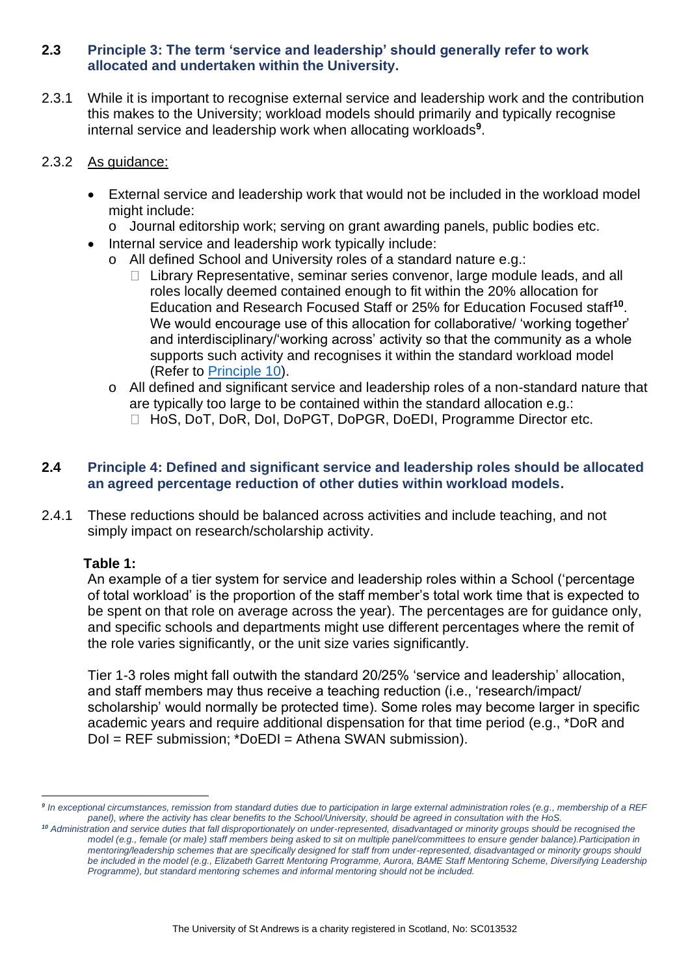#### <span id="page-3-0"></span>**2.3 Principle 3: The term 'service and leadership' should generally refer to work allocated and undertaken within the University.**

2.3.1 While it is important to recognise external service and leadership work and the contribution this makes to the University; workload models should primarily and typically recognise internal service and leadership work when allocating workloads**<sup>9</sup>** .

#### 2.3.2 As guidance:

- External service and leadership work that would not be included in the workload model might include:
	- o Journal editorship work; serving on grant awarding panels, public bodies etc.
- Internal service and leadership work typically include:
	- o All defined School and University roles of a standard nature e.g.:
		- $\Box$  Library Representative, seminar series convenor, large module leads, and all roles locally deemed contained enough to fit within the 20% allocation for Education and Research Focused Staff or 25% for Education Focused staff**<sup>10</sup>** . We would encourage use of this allocation for collaborative/ 'working together' and interdisciplinary/'working across' activity so that the community as a whole supports such activity and recognises it within the standard workload model (Refer to [Principle 10\)](#page-5-0).
	- o All defined and significant service and leadership roles of a non-standard nature that are typically too large to be contained within the standard allocation e.g.: □ HoS, DoT, DoR, DoI, DoPGT, DoPGR, DoEDI, Programme Director etc.

## **2.4 Principle 4: Defined and significant service and leadership roles should be allocated an agreed percentage reduction of other duties within workload models.**

2.4.1 These reductions should be balanced across activities and include teaching, and not simply impact on research/scholarship activity.

## **Table 1:**

An example of a tier system for service and leadership roles within a School ('percentage of total workload' is the proportion of the staff member's total work time that is expected to be spent on that role on average across the year). The percentages are for guidance only, and specific schools and departments might use different percentages where the remit of the role varies significantly, or the unit size varies significantly.

Tier 1-3 roles might fall outwith the standard 20/25% 'service and leadership' allocation, and staff members may thus receive a teaching reduction (i.e., 'research/impact/ scholarship' would normally be protected time). Some roles may become larger in specific academic years and require additional dispensation for that time period (e.g., \*DoR and DoI = REF submission; \*DoEDI = Athena SWAN submission).

*<sup>9</sup> In exceptional circumstances, remission from standard duties due to participation in large external administration roles (e.g., membership of a REF panel), where the activity has clear benefits to the School/University, should be agreed in consultation with the HoS.*

<sup>&</sup>lt;sup>10</sup> Administration and service duties that fall disproportionately on under-represented, disadvantaged or minority groups should be recognised the *model (e.g., female (or male) staff members being asked to sit on multiple panel/committees to ensure gender balance).Participation in mentoring/leadership schemes that are specifically designed for staff from under-represented, disadvantaged or minority groups should be included in the model (e.g., Elizabeth Garrett Mentoring Programme, Aurora, BAME Staff Mentoring Scheme, Diversifying Leadership Programme), but standard mentoring schemes and informal mentoring should not be included.*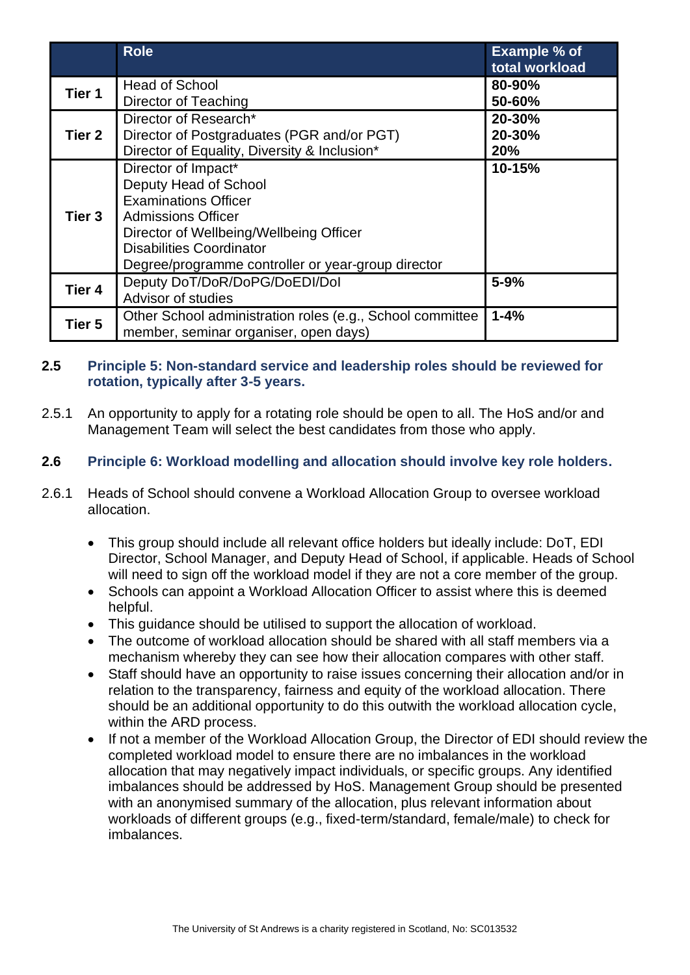|        | <b>Role</b>                                                                                                                                                                                                                                  | <b>Example % of</b><br>total workload |
|--------|----------------------------------------------------------------------------------------------------------------------------------------------------------------------------------------------------------------------------------------------|---------------------------------------|
| Tier 1 | <b>Head of School</b><br>Director of Teaching                                                                                                                                                                                                | 80-90%<br>50-60%                      |
| Tier 2 | Director of Research*<br>Director of Postgraduates (PGR and/or PGT)<br>Director of Equality, Diversity & Inclusion*                                                                                                                          | 20-30%<br>20-30%<br><b>20%</b>        |
| Tier 3 | Director of Impact*<br>Deputy Head of School<br><b>Examinations Officer</b><br><b>Admissions Officer</b><br>Director of Wellbeing/Wellbeing Officer<br><b>Disabilities Coordinator</b><br>Degree/programme controller or year-group director | 10-15%                                |
| Tier 4 | Deputy DoT/DoR/DoPG/DoEDI/Dol<br>Advisor of studies                                                                                                                                                                                          | $5 - 9%$                              |
| Tier 5 | Other School administration roles (e.g., School committee<br>member, seminar organiser, open days)                                                                                                                                           | $1 - 4%$                              |

## **2.5 Principle 5: Non-standard service and leadership roles should be reviewed for rotation, typically after 3-5 years.**

2.5.1 An opportunity to apply for a rotating role should be open to all. The HoS and/or and Management Team will select the best candidates from those who apply.

#### **2.6 Principle 6: Workload modelling and allocation should involve key role holders.**

- 2.6.1 Heads of School should convene a Workload Allocation Group to oversee workload allocation.
	- This group should include all relevant office holders but ideally include: DoT, EDI Director, School Manager, and Deputy Head of School, if applicable. Heads of School will need to sign off the workload model if they are not a core member of the group.
	- Schools can appoint a Workload Allocation Officer to assist where this is deemed helpful.
	- This guidance should be utilised to support the allocation of workload.
	- The outcome of workload allocation should be shared with all staff members via a mechanism whereby they can see how their allocation compares with other staff.
	- Staff should have an opportunity to raise issues concerning their allocation and/or in relation to the transparency, fairness and equity of the workload allocation. There should be an additional opportunity to do this outwith the workload allocation cycle, within the ARD process.
	- If not a member of the Workload Allocation Group, the Director of EDI should review the completed workload model to ensure there are no imbalances in the workload allocation that may negatively impact individuals, or specific groups. Any identified imbalances should be addressed by HoS. Management Group should be presented with an anonymised summary of the allocation, plus relevant information about workloads of different groups (e.g., fixed-term/standard, female/male) to check for imbalances.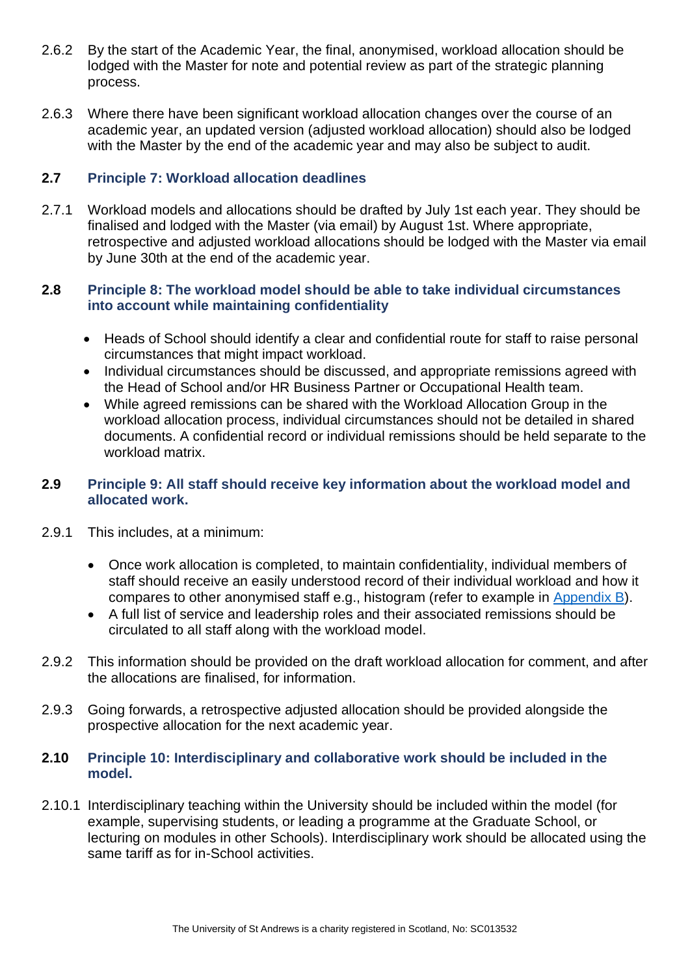- 2.6.2 By the start of the Academic Year, the final, anonymised, workload allocation should be lodged with the Master for note and potential review as part of the strategic planning process.
- 2.6.3 Where there have been significant workload allocation changes over the course of an academic year, an updated version (adjusted workload allocation) should also be lodged with the Master by the end of the academic year and may also be subject to audit.

## **2.7 Principle 7: Workload allocation deadlines**

2.7.1 Workload models and allocations should be drafted by July 1st each year. They should be finalised and lodged with the Master (via email) by August 1st. Where appropriate, retrospective and adjusted workload allocations should be lodged with the Master via email by June 30th at the end of the academic year.

## **2.8 Principle 8: The workload model should be able to take individual circumstances into account while maintaining confidentiality**

- Heads of School should identify a clear and confidential route for staff to raise personal circumstances that might impact workload.
- Individual circumstances should be discussed, and appropriate remissions agreed with the Head of School and/or HR Business Partner or Occupational Health team.
- While agreed remissions can be shared with the Workload Allocation Group in the workload allocation process, individual circumstances should not be detailed in shared documents. A confidential record or individual remissions should be held separate to the workload matrix.

## **2.9 Principle 9: All staff should receive key information about the workload model and allocated work.**

- 2.9.1 This includes, at a minimum:
	- Once work allocation is completed, to maintain confidentiality, individual members of staff should receive an easily understood record of their individual workload and how it compares to other anonymised staff e.g., histogram (refer to example in [Appendix B\)](#page-10-0).
	- A full list of service and leadership roles and their associated remissions should be circulated to all staff along with the workload model.
- 2.9.2 This information should be provided on the draft workload allocation for comment, and after the allocations are finalised, for information.
- 2.9.3 Going forwards, a retrospective adjusted allocation should be provided alongside the prospective allocation for the next academic year.

#### <span id="page-5-0"></span>**2.10 Principle 10: Interdisciplinary and collaborative work should be included in the model.**

2.10.1 Interdisciplinary teaching within the University should be included within the model (for example, supervising students, or leading a programme at the Graduate School, or lecturing on modules in other Schools). Interdisciplinary work should be allocated using the same tariff as for in-School activities.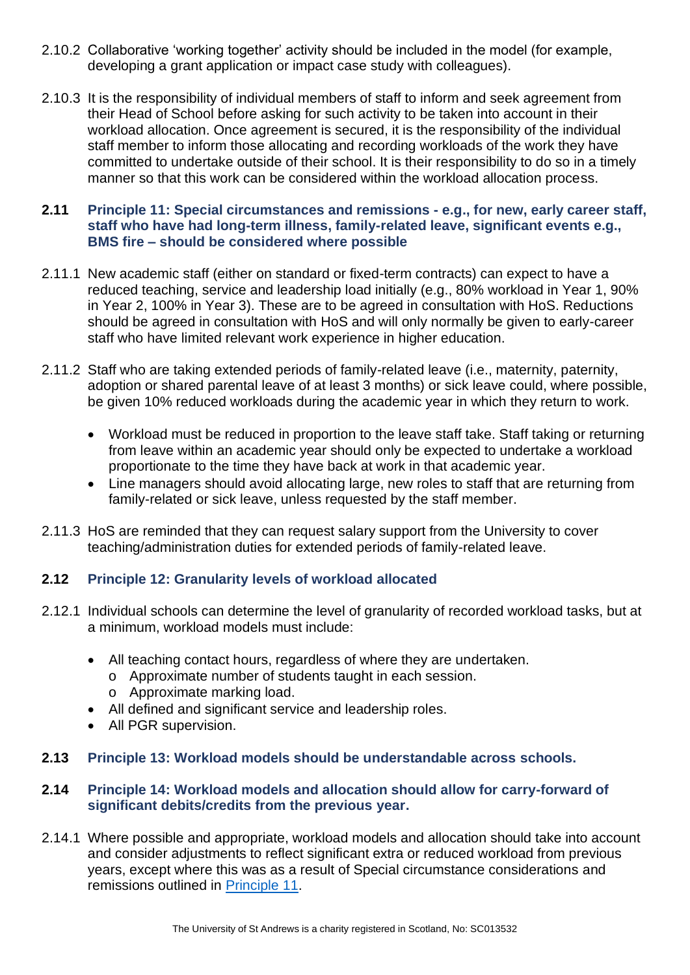- 2.10.2 Collaborative 'working together' activity should be included in the model (for example, developing a grant application or impact case study with colleagues).
- 2.10.3 It is the responsibility of individual members of staff to inform and seek agreement from their Head of School before asking for such activity to be taken into account in their workload allocation. Once agreement is secured, it is the responsibility of the individual staff member to inform those allocating and recording workloads of the work they have committed to undertake outside of their school. It is their responsibility to do so in a timely manner so that this work can be considered within the workload allocation process.

#### <span id="page-6-0"></span>**2.11 Principle 11: Special circumstances and remissions - e.g., for new, early career staff, staff who have had long-term illness, family-related leave, significant events e.g., BMS fire – should be considered where possible**

- 2.11.1 New academic staff (either on standard or fixed-term contracts) can expect to have a reduced teaching, service and leadership load initially (e.g., 80% workload in Year 1, 90% in Year 2, 100% in Year 3). These are to be agreed in consultation with HoS. Reductions should be agreed in consultation with HoS and will only normally be given to early-career staff who have limited relevant work experience in higher education.
- 2.11.2 Staff who are taking extended periods of family-related leave (i.e., maternity, paternity, adoption or shared parental leave of at least 3 months) or sick leave could, where possible, be given 10% reduced workloads during the academic year in which they return to work.
	- Workload must be reduced in proportion to the leave staff take. Staff taking or returning from leave within an academic year should only be expected to undertake a workload proportionate to the time they have back at work in that academic year.
	- Line managers should avoid allocating large, new roles to staff that are returning from family-related or sick leave, unless requested by the staff member.
- 2.11.3 HoS are reminded that they can request salary support from the University to cover teaching/administration duties for extended periods of family-related leave.

## **2.12 Principle 12: Granularity levels of workload allocated**

- 2.12.1 Individual schools can determine the level of granularity of recorded workload tasks, but at a minimum, workload models must include:
	- All teaching contact hours, regardless of where they are undertaken.
		- o Approximate number of students taught in each session. o Approximate marking load.
	- All defined and significant service and leadership roles.
	- All PGR supervision.
- **2.13 Principle 13: Workload models should be understandable across schools.**

## **2.14 Principle 14: Workload models and allocation should allow for carry-forward of significant debits/credits from the previous year.**

2.14.1 Where possible and appropriate, workload models and allocation should take into account and consider adjustments to reflect significant extra or reduced workload from previous years, except where this was as a result of Special circumstance considerations and remissions outlined in [Principle 11.](#page-6-0)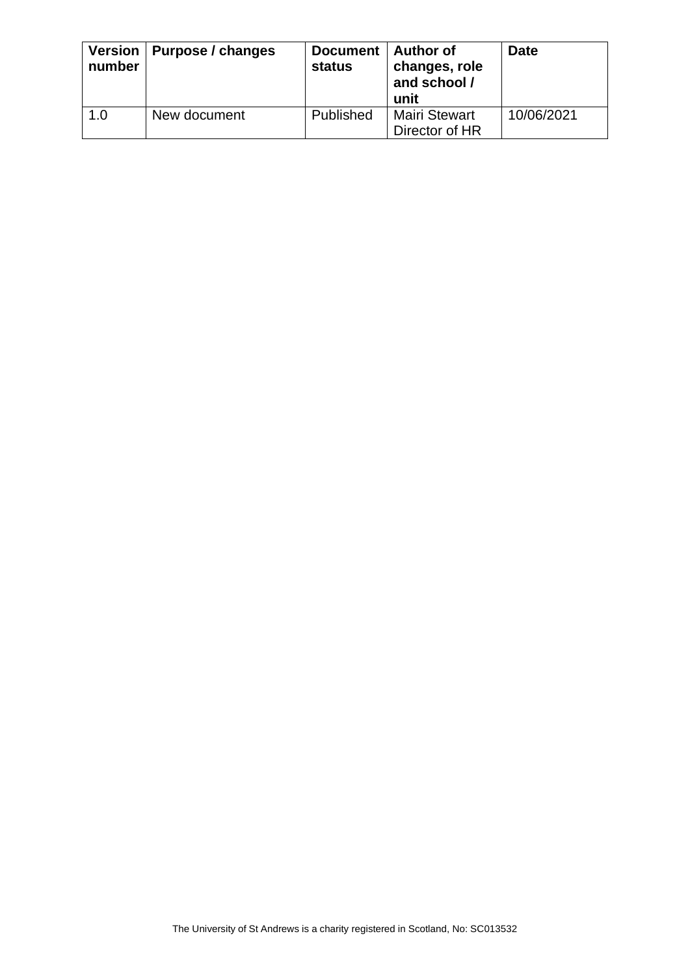| number | Version   Purpose / changes | Document   Author of<br><b>status</b> | changes, role<br>and school /<br>unit  | <b>Date</b> |
|--------|-----------------------------|---------------------------------------|----------------------------------------|-------------|
| 1.0    | New document                | Published                             | <b>Mairi Stewart</b><br>Director of HR | 10/06/2021  |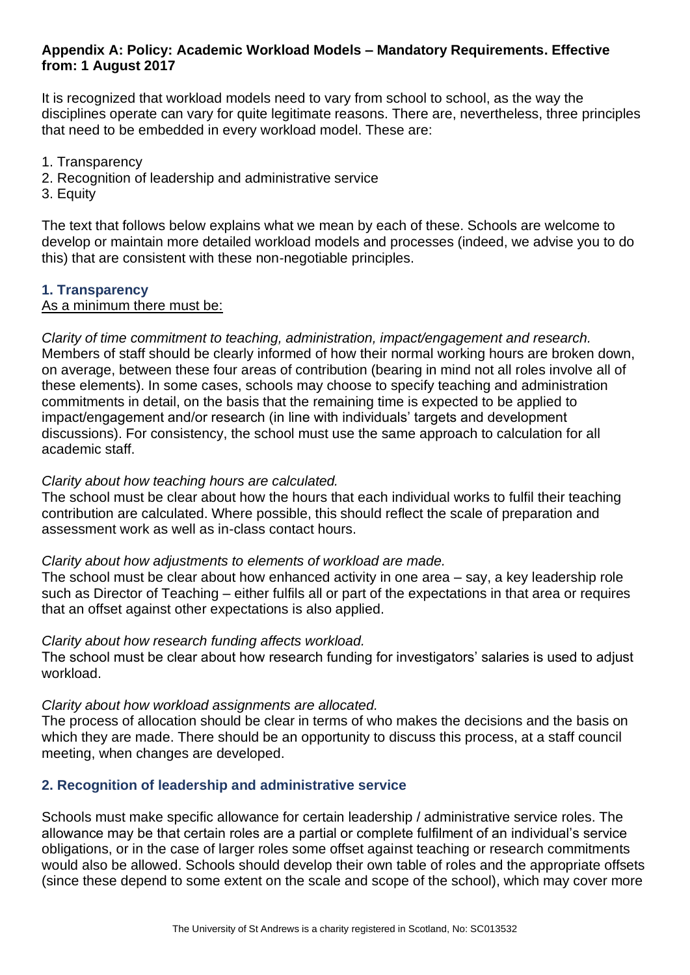#### <span id="page-8-0"></span>**Appendix A: Policy: Academic Workload Models – Mandatory Requirements. Effective from: 1 August 2017**

It is recognized that workload models need to vary from school to school, as the way the disciplines operate can vary for quite legitimate reasons. There are, nevertheless, three principles that need to be embedded in every workload model. These are:

- 1. Transparency
- 2. Recognition of leadership and administrative service
- 3. Equity

The text that follows below explains what we mean by each of these. Schools are welcome to develop or maintain more detailed workload models and processes (indeed, we advise you to do this) that are consistent with these non-negotiable principles.

#### **1. Transparency**

#### As a minimum there must be:

*Clarity of time commitment to teaching, administration, impact/engagement and research.* Members of staff should be clearly informed of how their normal working hours are broken down, on average, between these four areas of contribution (bearing in mind not all roles involve all of these elements). In some cases, schools may choose to specify teaching and administration commitments in detail, on the basis that the remaining time is expected to be applied to impact/engagement and/or research (in line with individuals' targets and development discussions). For consistency, the school must use the same approach to calculation for all academic staff.

#### *Clarity about how teaching hours are calculated.*

The school must be clear about how the hours that each individual works to fulfil their teaching contribution are calculated. Where possible, this should reflect the scale of preparation and assessment work as well as in-class contact hours.

#### *Clarity about how adjustments to elements of workload are made.*

The school must be clear about how enhanced activity in one area – say, a key leadership role such as Director of Teaching – either fulfils all or part of the expectations in that area or requires that an offset against other expectations is also applied.

#### *Clarity about how research funding affects workload.*

The school must be clear about how research funding for investigators' salaries is used to adjust workload.

#### *Clarity about how workload assignments are allocated.*

The process of allocation should be clear in terms of who makes the decisions and the basis on which they are made. There should be an opportunity to discuss this process, at a staff council meeting, when changes are developed.

#### **2. Recognition of leadership and administrative service**

Schools must make specific allowance for certain leadership / administrative service roles. The allowance may be that certain roles are a partial or complete fulfilment of an individual's service obligations, or in the case of larger roles some offset against teaching or research commitments would also be allowed. Schools should develop their own table of roles and the appropriate offsets (since these depend to some extent on the scale and scope of the school), which may cover more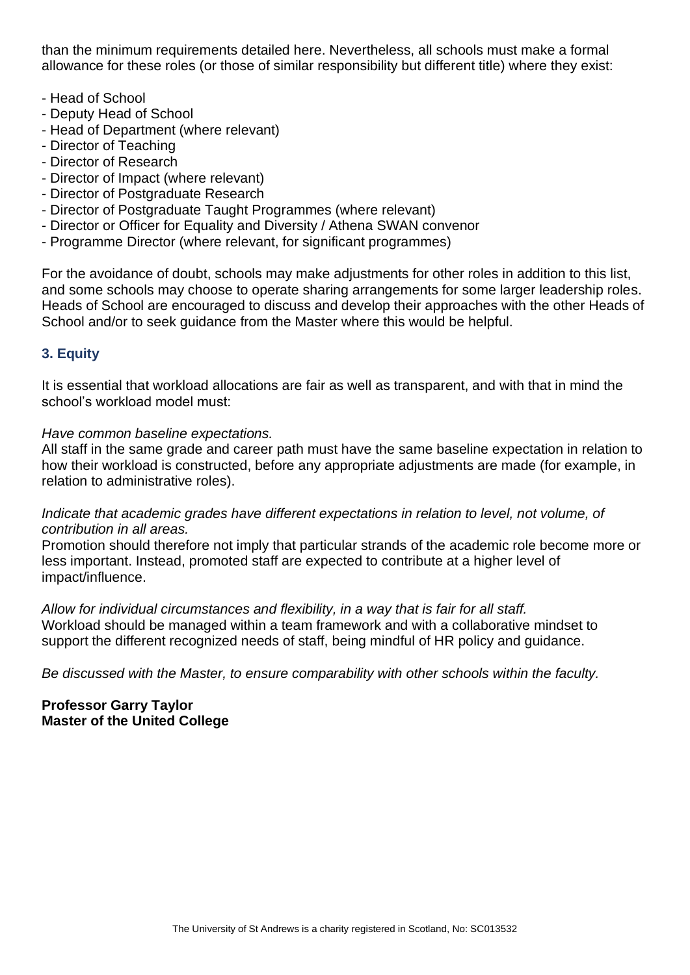than the minimum requirements detailed here. Nevertheless, all schools must make a formal allowance for these roles (or those of similar responsibility but different title) where they exist:

- Head of School
- Deputy Head of School
- Head of Department (where relevant)
- Director of Teaching
- Director of Research
- Director of Impact (where relevant)
- Director of Postgraduate Research
- Director of Postgraduate Taught Programmes (where relevant)
- Director or Officer for Equality and Diversity / Athena SWAN convenor
- Programme Director (where relevant, for significant programmes)

For the avoidance of doubt, schools may make adjustments for other roles in addition to this list, and some schools may choose to operate sharing arrangements for some larger leadership roles. Heads of School are encouraged to discuss and develop their approaches with the other Heads of School and/or to seek guidance from the Master where this would be helpful.

#### **3. Equity**

It is essential that workload allocations are fair as well as transparent, and with that in mind the school's workload model must:

#### *Have common baseline expectations.*

All staff in the same grade and career path must have the same baseline expectation in relation to how their workload is constructed, before any appropriate adjustments are made (for example, in relation to administrative roles).

*Indicate that academic grades have different expectations in relation to level, not volume, of contribution in all areas.*

Promotion should therefore not imply that particular strands of the academic role become more or less important. Instead, promoted staff are expected to contribute at a higher level of impact/influence.

*Allow for individual circumstances and flexibility, in a way that is fair for all staff.*  Workload should be managed within a team framework and with a collaborative mindset to support the different recognized needs of staff, being mindful of HR policy and guidance.

*Be discussed with the Master, to ensure comparability with other schools within the faculty.* 

#### **Professor Garry Taylor Master of the United College**